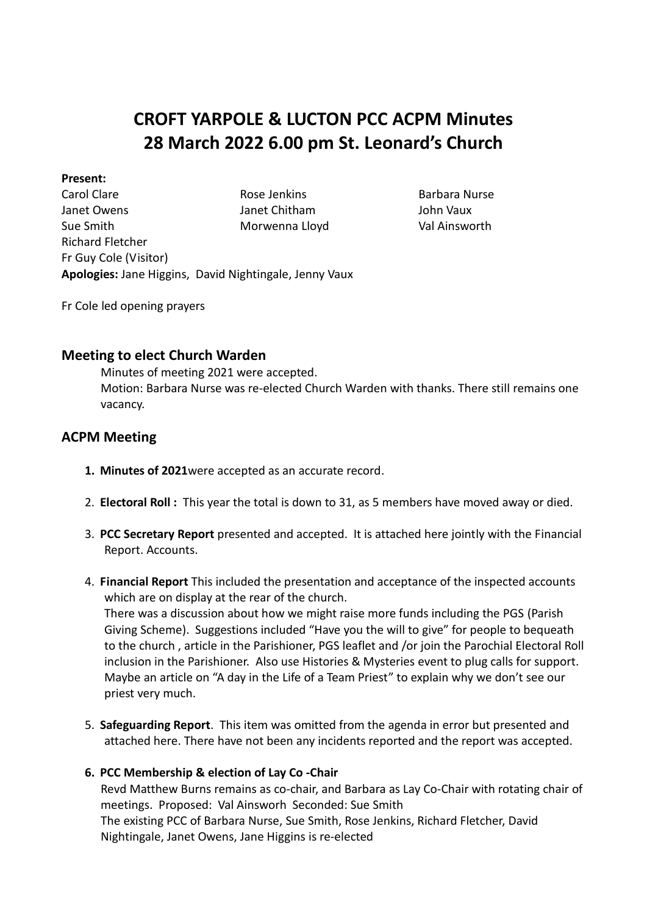# **CROFT YARPOLE & LUCTON PCC ACPM Minutes 28 March 2022 6.00 pm St. Leonard's Church**

## **Present:**

Carol Clare **Rose Jenkins** Barbara Nurse Janet Owens Janet Chitham John Vaux Sue Smith Richard Fletcher Fr Guy Cole (Visitor) Morwenna Lloyd Val Ainsworth **Apologies:** Jane Higgins, David Nightingale, Jenny Vaux

Fr Cole led opening prayers

# **Meeting to elect Church Warden**

Minutes of meeting 2021 were accepted. Motion: Barbara Nurse was re-elected Church Warden with thanks. There still remains one vacancy.

# **ACPM Meeting**

- **1. Minutes of 2021**were accepted as an accurate record.
- 2. **Electoral Roll :** This year the total is down to 31, as 5 members have moved away or died.
- 3. **PCC Secretary Report** presented and accepted. It is attached here jointly with the Financial Report. Accounts.
- 4. **Financial Report** This included the presentation and acceptance of the inspected accounts which are on display at the rear of the church. There was a discussion about how we might raise more funds including the PGS (Parish Giving Scheme). Suggestions included "Have you the will to give" for people to bequeath to the church , article in the Parishioner, PGS leaflet and /or join the Parochial Electoral Roll inclusion in the Parishioner. Also use Histories & Mysteries event to plug calls for support. Maybe an article on "A day in the Life of a Team Priest" to explain why we don't see our priest very much.
- 5. **Safeguarding Report**. This item was omitted from the agenda in error but presented and attached here. There have not been any incidents reported and the report was accepted.

# **6. PCC Membership & election of Lay Co -Chair**

Revd Matthew Burns remains as co-chair, and Barbara as Lay Co-Chair with rotating chair of meetings. Proposed: Val Ainsworh Seconded: Sue Smith The existing PCC of Barbara Nurse, Sue Smith, Rose Jenkins, Richard Fletcher, David Nightingale, Janet Owens, Jane Higgins is re-elected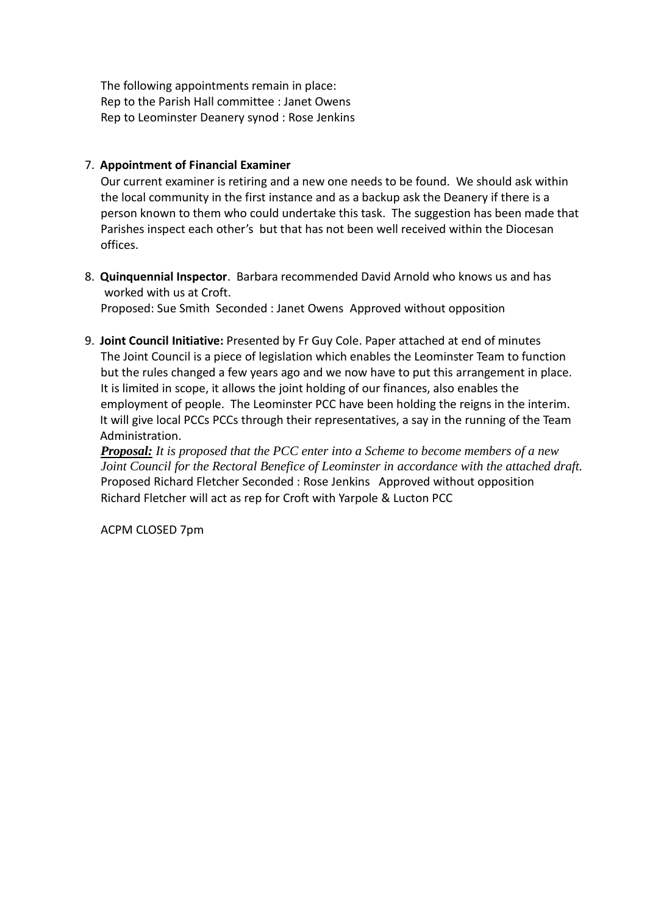The following appointments remain in place: Rep to the Parish Hall committee : Janet Owens Rep to Leominster Deanery synod : Rose Jenkins

# 7. **Appointment of Financial Examiner**

Our current examiner is retiring and a new one needs to be found. We should ask within the local community in the first instance and as a backup ask the Deanery if there is a person known to them who could undertake this task. The suggestion has been made that Parishes inspect each other's but that has not been well received within the Diocesan offices.

8. **Quinquennial Inspector**. Barbara recommended David Arnold who knows us and has worked with us at Croft.

Proposed: Sue Smith Seconded : Janet Owens Approved without opposition

9. **Joint Council Initiative:** Presented by Fr Guy Cole. Paper attached at end of minutes The Joint Council is a piece of legislation which enables the Leominster Team to function but the rules changed a few years ago and we now have to put this arrangement in place. It is limited in scope, it allows the joint holding of our finances, also enables the employment of people. The Leominster PCC have been holding the reigns in the interim. It will give local PCCs PCCs through their representatives, a say in the running of the Team Administration.

*Proposal: It is proposed that the PCC enter into a Scheme to become members of a new Joint Council for the Rectoral Benefice of Leominster in accordance with the attached draft.* Proposed Richard Fletcher Seconded : Rose Jenkins Approved without opposition Richard Fletcher will act as rep for Croft with Yarpole & Lucton PCC

ACPM CLOSED 7pm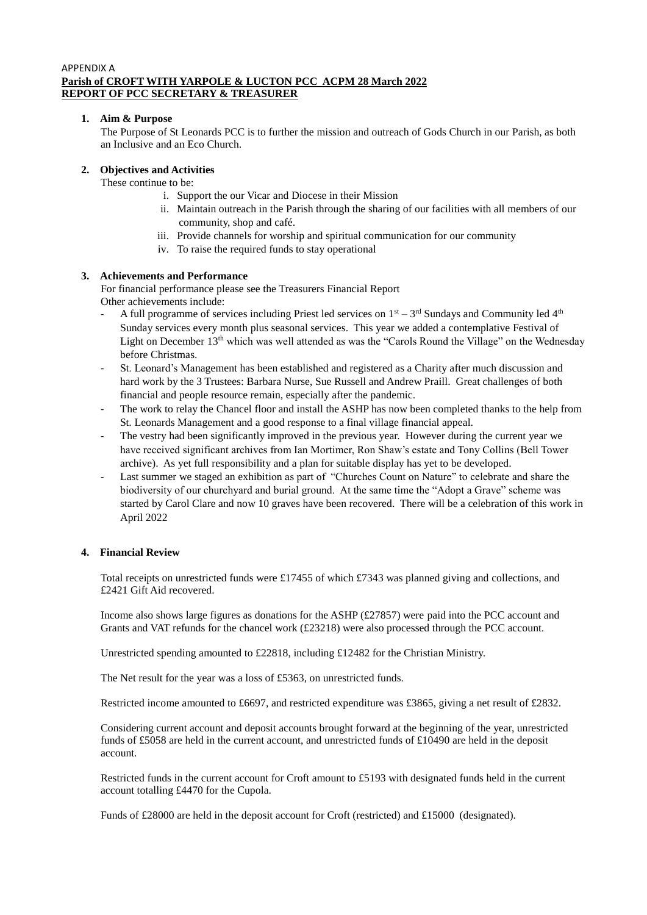#### APPENDIX A **Parish of CROFT WITH YARPOLE & LUCTON PCC ACPM 28 March 2022 REPORT OF PCC SECRETARY & TREASURER**

## **1. Aim & Purpose**

The Purpose of St Leonards PCC is to further the mission and outreach of Gods Church in our Parish, as both an Inclusive and an Eco Church.

## **2. Objectives and Activities**

These continue to be:

- i. Support the our Vicar and Diocese in their Mission
- ii. Maintain outreach in the Parish through the sharing of our facilities with all members of our community, shop and café.
- iii. Provide channels for worship and spiritual communication for our community
- iv. To raise the required funds to stay operational

## **3. Achievements and Performance**

For financial performance please see the Treasurers Financial Report Other achievements include:

- A full programme of services including Priest led services on  $1<sup>st</sup> 3<sup>rd</sup>$  Sundays and Community led  $4<sup>th</sup>$ Sunday services every month plus seasonal services. This year we added a contemplative Festival of Light on December 13<sup>th</sup> which was well attended as was the "Carols Round the Village" on the Wednesday before Christmas.
- St. Leonard's Management has been established and registered as a Charity after much discussion and hard work by the 3 Trustees: Barbara Nurse, Sue Russell and Andrew Praill. Great challenges of both financial and people resource remain, especially after the pandemic.
- The work to relay the Chancel floor and install the ASHP has now been completed thanks to the help from St. Leonards Management and a good response to a final village financial appeal.
- The vestry had been significantly improved in the previous year. However during the current year we have received significant archives from Ian Mortimer, Ron Shaw's estate and Tony Collins (Bell Tower archive). As yet full responsibility and a plan for suitable display has yet to be developed.
- Last summer we staged an exhibition as part of "Churches Count on Nature" to celebrate and share the biodiversity of our churchyard and burial ground. At the same time the "Adopt a Grave" scheme was started by Carol Clare and now 10 graves have been recovered. There will be a celebration of this work in April 2022

#### **4. Financial Review**

Total receipts on unrestricted funds were £17455 of which £7343 was planned giving and collections, and £2421 Gift Aid recovered.

Income also shows large figures as donations for the ASHP (£27857) were paid into the PCC account and Grants and VAT refunds for the chancel work (£23218) were also processed through the PCC account.

Unrestricted spending amounted to £22818, including £12482 for the Christian Ministry.

The Net result for the year was a loss of £5363, on unrestricted funds.

Restricted income amounted to £6697, and restricted expenditure was £3865, giving a net result of £2832.

Considering current account and deposit accounts brought forward at the beginning of the year, unrestricted funds of £5058 are held in the current account, and unrestricted funds of £10490 are held in the deposit account.

Restricted funds in the current account for Croft amount to £5193 with designated funds held in the current account totalling £4470 for the Cupola.

Funds of £28000 are held in the deposit account for Croft (restricted) and £15000 (designated).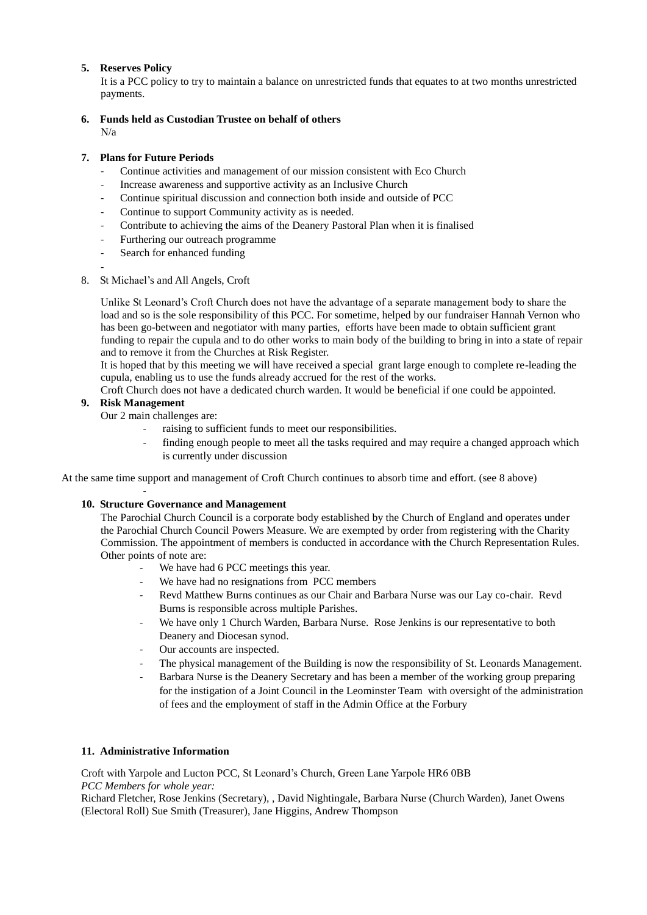## **5. Reserves Policy**

It is a PCC policy to try to maintain a balance on unrestricted funds that equates to at two months unrestricted payments.

## **6. Funds held as Custodian Trustee on behalf of others**

 $N/a$ 

-

## **7. Plans for Future Periods**

- Continue activities and management of our mission consistent with Eco Church
- Increase awareness and supportive activity as an Inclusive Church
- Continue spiritual discussion and connection both inside and outside of PCC
- Continue to support Community activity as is needed.
- Contribute to achieving the aims of the Deanery Pastoral Plan when it is finalised
- Furthering our outreach programme
- Search for enhanced funding
- 8. St Michael's and All Angels, Croft

Unlike St Leonard's Croft Church does not have the advantage of a separate management body to share the load and so is the sole responsibility of this PCC. For sometime, helped by our fundraiser Hannah Vernon who has been go-between and negotiator with many parties, efforts have been made to obtain sufficient grant funding to repair the cupula and to do other works to main body of the building to bring in into a state of repair and to remove it from the Churches at Risk Register.

It is hoped that by this meeting we will have received a special grant large enough to complete re-leading the cupula, enabling us to use the funds already accrued for the rest of the works.

Croft Church does not have a dedicated church warden. It would be beneficial if one could be appointed.

## **9. Risk Management**

-

Our 2 main challenges are:

- raising to sufficient funds to meet our responsibilities.
- finding enough people to meet all the tasks required and may require a changed approach which is currently under discussion

At the same time support and management of Croft Church continues to absorb time and effort. (see 8 above)

#### **10. Structure Governance and Management**

The Parochial Church Council is a corporate body established by the Church of England and operates under the Parochial Church Council Powers Measure. We are exempted by order from registering with the Charity Commission. The appointment of members is conducted in accordance with the Church Representation Rules. Other points of note are:

- We have had 6 PCC meetings this year.
- We have had no resignations from PCC members
- Revd Matthew Burns continues as our Chair and Barbara Nurse was our Lay co-chair. Revd Burns is responsible across multiple Parishes.
- We have only 1 Church Warden, Barbara Nurse. Rose Jenkins is our representative to both Deanery and Diocesan synod.
- Our accounts are inspected.
- The physical management of the Building is now the responsibility of St. Leonards Management.
- Barbara Nurse is the Deanery Secretary and has been a member of the working group preparing for the instigation of a Joint Council in the Leominster Team with oversight of the administration of fees and the employment of staff in the Admin Office at the Forbury

#### **11. Administrative Information**

Croft with Yarpole and Lucton PCC, St Leonard's Church, Green Lane Yarpole HR6 0BB *PCC Members for whole year:* 

Richard Fletcher, Rose Jenkins (Secretary), , David Nightingale, Barbara Nurse (Church Warden), Janet Owens (Electoral Roll) Sue Smith (Treasurer), Jane Higgins, Andrew Thompson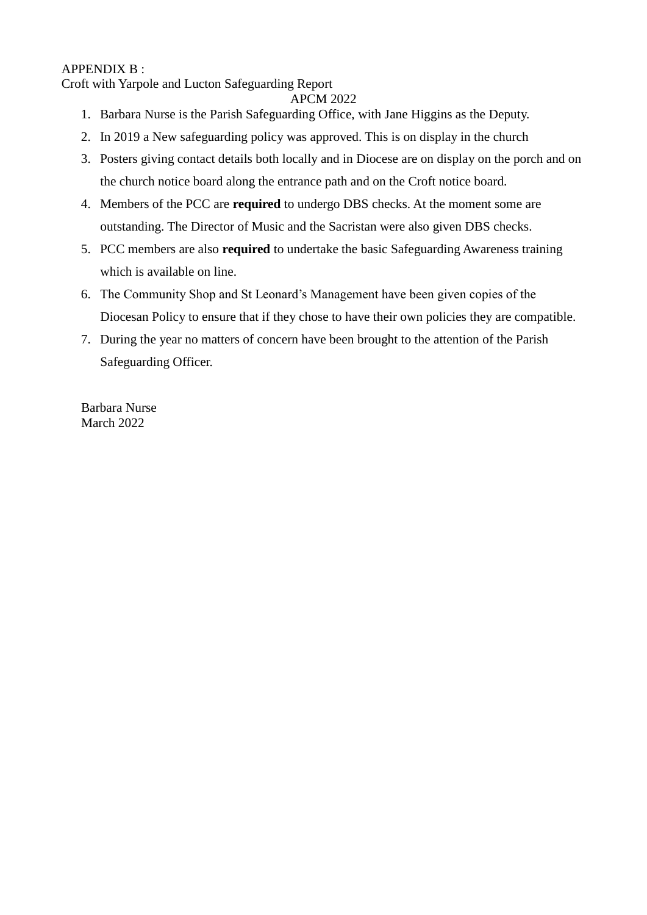# APPENDIX B :

Croft with Yarpole and Lucton Safeguarding Report

APCM 2022

- 1. Barbara Nurse is the Parish Safeguarding Office, with Jane Higgins as the Deputy.
- 2. In 2019 a New safeguarding policy was approved. This is on display in the church
- 3. Posters giving contact details both locally and in Diocese are on display on the porch and on the church notice board along the entrance path and on the Croft notice board.
- 4. Members of the PCC are **required** to undergo DBS checks. At the moment some are outstanding. The Director of Music and the Sacristan were also given DBS checks.
- 5. PCC members are also **required** to undertake the basic Safeguarding Awareness training which is available on line.
- 6. The Community Shop and St Leonard's Management have been given copies of the Diocesan Policy to ensure that if they chose to have their own policies they are compatible.
- 7. During the year no matters of concern have been brought to the attention of the Parish Safeguarding Officer.

Barbara Nurse March 2022